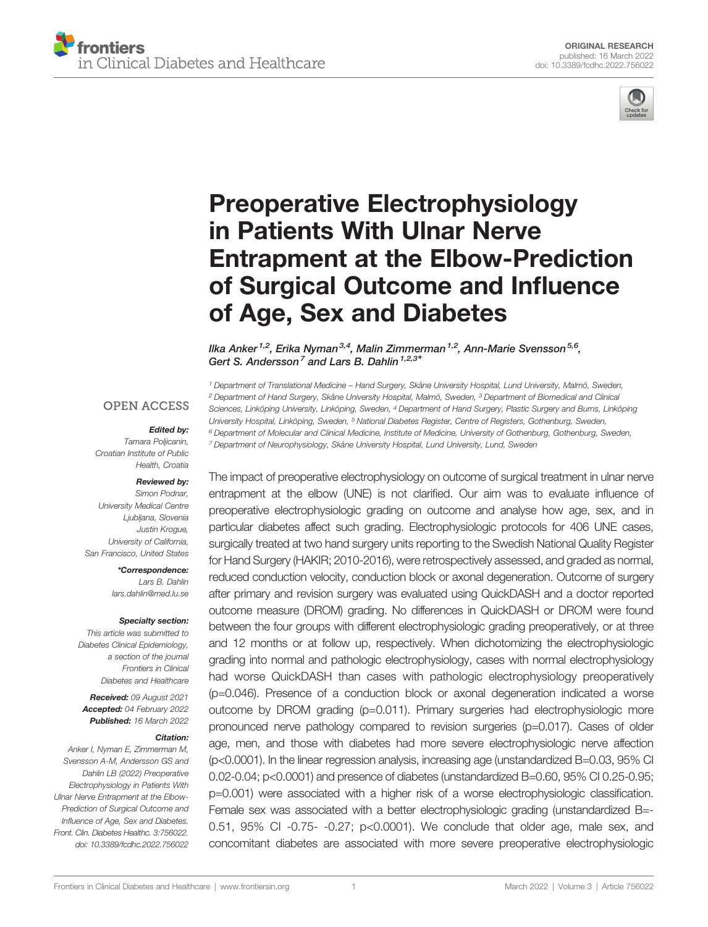



# [Preoperative Electrophysiology](https://www.frontiersin.org/articles/10.3389/fcdhc.2022.756022/full) [in Patients With Ulnar Nerve](https://www.frontiersin.org/articles/10.3389/fcdhc.2022.756022/full) [Entrapment at the Elbow-Prediction](https://www.frontiersin.org/articles/10.3389/fcdhc.2022.756022/full) [of Surgical Outcome and In](https://www.frontiersin.org/articles/10.3389/fcdhc.2022.756022/full)fluence [of Age, Sex and Diabetes](https://www.frontiersin.org/articles/10.3389/fcdhc.2022.756022/full)

Ilka Anker<sup>1,2</sup>, Erika Nyman<sup>3,4</sup>, Malin Zimmerman<sup>1,2</sup>, Ann-Marie Svensson<sup>5,6</sup>, Gert S. Andersson<sup>7</sup> and Lars B. Dahlin<sup>1,2,3\*</sup>

#### **OPEN ACCESS**

#### Edited by:

Tamara Poljicanin, Croatian Institute of Public Health, Croatia

#### Reviewed by:

Simon Podnar, University Medical Centre Ljubljana, Slovenia Justin Krogue, University of California, San Francisco, United States

\*Correspondence:

Lars B. Dahlin [lars.dahlin@med.lu.se](mailto:lars.dahlin@med.lu.se)

#### Specialty section:

This article was submitted to Diabetes Clinical Epidemiology, a section of the journal Frontiers in Clinical Diabetes and Healthcare

Received: 09 August 2021 Accepted: 04 February 2022 Published: 16 March 2022

#### Citation:

Anker I, Nyman E, Zimmerman M, Svensson A-M, Andersson GS and Dahlin LB (2022) Preoperative Electrophysiology in Patients With Ulnar Nerve Entrapment at the Elbow-Prediction of Surgical Outcome and Influence of Age, Sex and Diabetes. Front. Clin. Diabetes Healthc. 3:756022. [doi: 10.3389/fcdhc.2022.756022](https://doi.org/10.3389/fcdhc.2022.756022)  Department of Translational Medicine – Hand Surgery, Skåne University Hospital, Lund University, Malmö, Sweden, Department of Hand Surgery, Skåne University Hospital, Malmö, Sweden, <sup>3</sup> Department of Biomedical and Clinical Sciences, Linköping University, Linköping, Sweden, <sup>4</sup> Department of Hand Surgery, Plastic Surgery and Burns, Linköping University Hospital, Linköping, Sweden, <sup>5</sup> National Diabetes Register, Centre of Registers, Gothenburg, Sweden, Department of Molecular and Clinical Medicine, Institute of Medicine, University of Gothenburg, Gothenburg, Sweden, Department of Neurophysiology, Skåne University Hospital, Lund University, Lund, Sweden

The impact of preoperative electrophysiology on outcome of surgical treatment in ulnar nerve entrapment at the elbow (UNE) is not clarified. Our aim was to evaluate influence of preoperative electrophysiologic grading on outcome and analyse how age, sex, and in particular diabetes affect such grading. Electrophysiologic protocols for 406 UNE cases, surgically treated at two hand surgery units reporting to the Swedish National Quality Register for Hand Surgery (HAKIR; 2010-2016), were retrospectively assessed, and graded as normal, reduced conduction velocity, conduction block or axonal degeneration. Outcome of surgery after primary and revision surgery was evaluated using QuickDASH and a doctor reported outcome measure (DROM) grading. No differences in QuickDASH or DROM were found between the four groups with different electrophysiologic grading preoperatively, or at three and 12 months or at follow up, respectively. When dichotomizing the electrophysiologic grading into normal and pathologic electrophysiology, cases with normal electrophysiology had worse QuickDASH than cases with pathologic electrophysiology preoperatively (p=0.046). Presence of a conduction block or axonal degeneration indicated a worse outcome by DROM grading (p=0.011). Primary surgeries had electrophysiologic more pronounced nerve pathology compared to revision surgeries (p=0.017). Cases of older age, men, and those with diabetes had more severe electrophysiologic nerve affection (p<0.0001). In the linear regression analysis, increasing age (unstandardized B=0.03, 95% CI 0.02-0.04; p<0.0001) and presence of diabetes (unstandardized B=0.60, 95% CI 0.25-0.95; p=0.001) were associated with a higher risk of a worse electrophysiologic classification. Female sex was associated with a better electrophysiologic grading (unstandardized B=- 0.51, 95% CI -0.75- -0.27; p<0.0001). We conclude that older age, male sex, and concomitant diabetes are associated with more severe preoperative electrophysiologic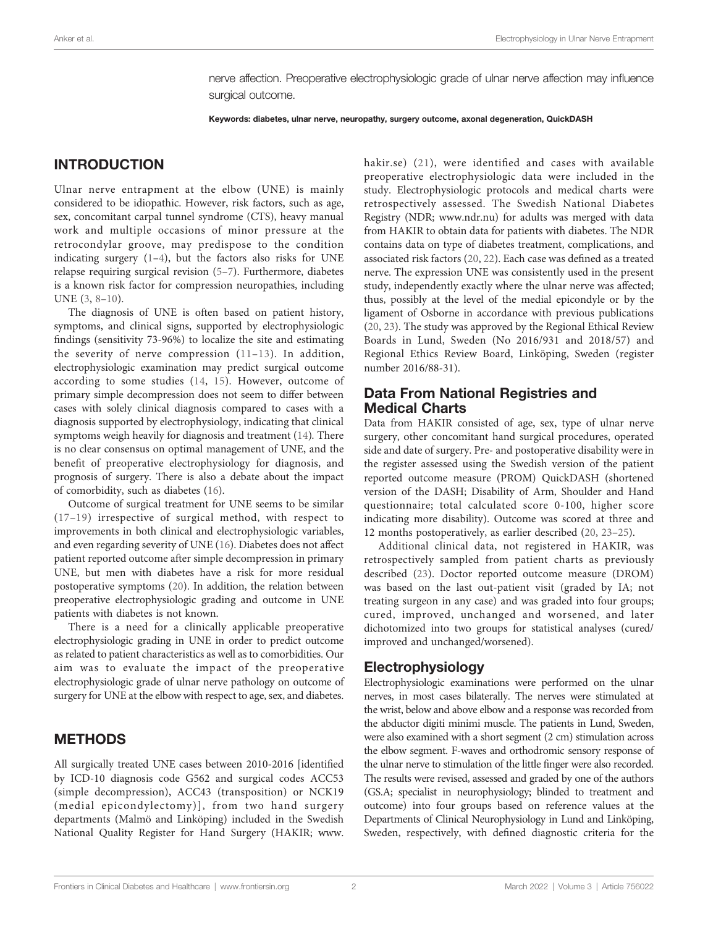nerve affection. Preoperative electrophysiologic grade of ulnar nerve affection may influence surgical outcome.

Keywords: diabetes, ulnar nerve, neuropathy, surgery outcome, axonal degeneration, QuickDASH

# INTRODUCTION

Ulnar nerve entrapment at the elbow (UNE) is mainly considered to be idiopathic. However, risk factors, such as age, sex, concomitant carpal tunnel syndrome (CTS), heavy manual work and multiple occasions of minor pressure at the retrocondylar groove, may predispose to the condition indicating surgery  $(1-4)$  $(1-4)$  $(1-4)$  $(1-4)$ , but the factors also risks for UNE relapse requiring surgical revision [\(5](#page-7-0)–[7](#page-7-0)). Furthermore, diabetes is a known risk factor for compression neuropathies, including UNE ([3](#page-7-0), [8](#page-7-0)–[10\)](#page-7-0).

The diagnosis of UNE is often based on patient history, symptoms, and clinical signs, supported by electrophysiologic findings (sensitivity 73-96%) to localize the site and estimating the severity of nerve compression ([11](#page-7-0)–[13](#page-7-0)). In addition, electrophysiologic examination may predict surgical outcome according to some studies ([14,](#page-7-0) [15](#page-7-0)). However, outcome of primary simple decompression does not seem to differ between cases with solely clinical diagnosis compared to cases with a diagnosis supported by electrophysiology, indicating that clinical symptoms weigh heavily for diagnosis and treatment [\(14](#page-7-0)). There is no clear consensus on optimal management of UNE, and the benefit of preoperative electrophysiology for diagnosis, and prognosis of surgery. There is also a debate about the impact of comorbidity, such as diabetes ([16\)](#page-7-0).

Outcome of surgical treatment for UNE seems to be similar ([17](#page-7-0)–[19\)](#page-7-0) irrespective of surgical method, with respect to improvements in both clinical and electrophysiologic variables, and even regarding severity of UNE [\(16](#page-7-0)). Diabetes does not affect patient reported outcome after simple decompression in primary UNE, but men with diabetes have a risk for more residual postoperative symptoms ([20](#page-7-0)). In addition, the relation between preoperative electrophysiologic grading and outcome in UNE patients with diabetes is not known.

There is a need for a clinically applicable preoperative electrophysiologic grading in UNE in order to predict outcome as related to patient characteristics as well as to comorbidities. Our aim was to evaluate the impact of the preoperative electrophysiologic grade of ulnar nerve pathology on outcome of surgery for UNE at the elbow with respect to age, sex, and diabetes.

### METHODS

All surgically treated UNE cases between 2010-2016 [identified by ICD-10 diagnosis code G562 and surgical codes ACC53 (simple decompression), ACC43 (transposition) or NCK19 (medial epicondylectomy)], from two hand surgery departments (Malmö and Linköping) included in the Swedish National Quality Register for Hand Surgery (HAKIR; [www.](http://www.hakir.se) [hakir.se\)](http://www.hakir.se) ([21\)](#page-7-0), were identified and cases with available preoperative electrophysiologic data were included in the study. Electrophysiologic protocols and medical charts were retrospectively assessed. The Swedish National Diabetes Registry (NDR; [www.ndr.nu](http://www.ndr.nu)) for adults was merged with data from HAKIR to obtain data for patients with diabetes. The NDR contains data on type of diabetes treatment, complications, and associated risk factors [\(20,](#page-7-0) [22\)](#page-8-0). Each case was defined as a treated nerve. The expression UNE was consistently used in the present study, independently exactly where the ulnar nerve was affected; thus, possibly at the level of the medial epicondyle or by the ligament of Osborne in accordance with previous publications [\(20,](#page-7-0) [23\)](#page-8-0). The study was approved by the Regional Ethical Review Boards in Lund, Sweden (No 2016/931 and 2018/57) and Regional Ethics Review Board, Linköping, Sweden (register number 2016/88-31).

### Data From National Registries and Medical Charts

Data from HAKIR consisted of age, sex, type of ulnar nerve surgery, other concomitant hand surgical procedures, operated side and date of surgery. Pre- and postoperative disability were in the register assessed using the Swedish version of the patient reported outcome measure (PROM) QuickDASH (shortened version of the DASH; Disability of Arm, Shoulder and Hand questionnaire; total calculated score 0-100, higher score indicating more disability). Outcome was scored at three and 12 months postoperatively, as earlier described ([20,](#page-7-0) [23](#page-8-0)–[25\)](#page-8-0).

Additional clinical data, not registered in HAKIR, was retrospectively sampled from patient charts as previously described ([23\)](#page-8-0). Doctor reported outcome measure (DROM) was based on the last out-patient visit (graded by IA; not treating surgeon in any case) and was graded into four groups; cured, improved, unchanged and worsened, and later dichotomized into two groups for statistical analyses (cured/ improved and unchanged/worsened).

### Electrophysiology

Electrophysiologic examinations were performed on the ulnar nerves, in most cases bilaterally. The nerves were stimulated at the wrist, below and above elbow and a response was recorded from the abductor digiti minimi muscle. The patients in Lund, Sweden, were also examined with a short segment (2 cm) stimulation across the elbow segment. F-waves and orthodromic sensory response of the ulnar nerve to stimulation of the little finger were also recorded. The results were revised, assessed and graded by one of the authors (GS.A; specialist in neurophysiology; blinded to treatment and outcome) into four groups based on reference values at the Departments of Clinical Neurophysiology in Lund and Linköping, Sweden, respectively, with defined diagnostic criteria for the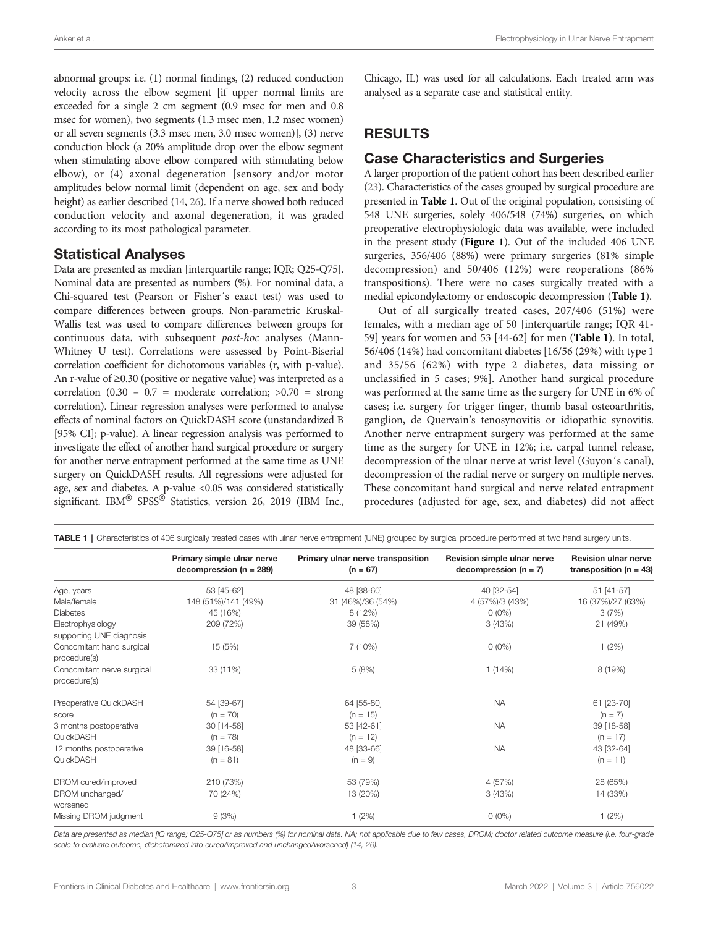<span id="page-2-0"></span>abnormal groups: i.e. (1) normal findings, (2) reduced conduction velocity across the elbow segment [if upper normal limits are exceeded for a single 2 cm segment (0.9 msec for men and 0.8 msec for women), two segments (1.3 msec men, 1.2 msec women) or all seven segments (3.3 msec men, 3.0 msec women)], (3) nerve conduction block (a 20% amplitude drop over the elbow segment when stimulating above elbow compared with stimulating below elbow), or (4) axonal degeneration [sensory and/or motor amplitudes below normal limit (dependent on age, sex and body height) as earlier described ([14,](#page-7-0) [26](#page-8-0)). If a nerve showed both reduced conduction velocity and axonal degeneration, it was graded according to its most pathological parameter.

#### Statistical Analyses

Data are presented as median [interquartile range; IQR; Q25-Q75]. Nominal data are presented as numbers (%). For nominal data, a Chi-squared test (Pearson or Fisher´s exact test) was used to compare differences between groups. Non-parametric Kruskal-Wallis test was used to compare differences between groups for continuous data, with subsequent post-hoc analyses (Mann-Whitney U test). Correlations were assessed by Point-Biserial correlation coefficient for dichotomous variables (r, with p-value). An r-value of ≥0.30 (positive or negative value) was interpreted as a correlation  $(0.30 - 0.7 =$  moderate correlation;  $>0.70 =$  strong correlation). Linear regression analyses were performed to analyse effects of nominal factors on QuickDASH score (unstandardized B [95% CI]; p-value). A linear regression analysis was performed to investigate the effect of another hand surgical procedure or surgery for another nerve entrapment performed at the same time as UNE surgery on QuickDASH results. All regressions were adjusted for age, sex and diabetes. A p-value <0.05 was considered statistically significant. IBM<sup>®</sup> SPSS<sup>®</sup> Statistics, version 26, 2019 (IBM Inc.,

Chicago, IL) was used for all calculations. Each treated arm was analysed as a separate case and statistical entity.

# RESULTS

#### Case Characteristics and Surgeries

A larger proportion of the patient cohort has been described earlier [\(23](#page-8-0)). Characteristics of the cases grouped by surgical procedure are presented in Table 1. Out of the original population, consisting of 548 UNE surgeries, solely 406/548 (74%) surgeries, on which preoperative electrophysiologic data was available, were included in the present study ([Figure 1](#page-3-0)). Out of the included 406 UNE surgeries, 356/406 (88%) were primary surgeries (81% simple decompression) and 50/406 (12%) were reoperations (86% transpositions). There were no cases surgically treated with a medial epicondylectomy or endoscopic decompression (Table 1).

Out of all surgically treated cases, 207/406 (51%) were females, with a median age of 50 [interquartile range; IQR 41- 59] years for women and 53 [44-62] for men (Table 1). In total, 56/406 (14%) had concomitant diabetes [16/56 (29%) with type 1 and 35/56 (62%) with type 2 diabetes, data missing or unclassified in 5 cases; 9%]. Another hand surgical procedure was performed at the same time as the surgery for UNE in 6% of cases; i.e. surgery for trigger finger, thumb basal osteoarthritis, ganglion, de Quervain's tenosynovitis or idiopathic synovitis. Another nerve entrapment surgery was performed at the same time as the surgery for UNE in 12%; i.e. carpal tunnel release, decompression of the ulnar nerve at wrist level (Guyon´s canal), decompression of the radial nerve or surgery on multiple nerves. These concomitant hand surgical and nerve related entrapment procedures (adjusted for age, sex, and diabetes) did not affect

| <b>TABLE 1</b>   Characteristics of 406 surgically treated cases with ulnar nerve entrapment (UNE) grouped by surgical procedure performed at two hand surgery units. |                                                         |                                                 |                                                        |                                                           |  |  |  |
|-----------------------------------------------------------------------------------------------------------------------------------------------------------------------|---------------------------------------------------------|-------------------------------------------------|--------------------------------------------------------|-----------------------------------------------------------|--|--|--|
|                                                                                                                                                                       | Primary simple ulnar nerve<br>$decompression (n = 289)$ | Primary ulnar nerve transposition<br>$(n = 67)$ | Revision simple ulnar nerve<br>decompression $(n = 7)$ | <b>Revision ulnar nerve</b><br>transposition ( $n = 43$ ) |  |  |  |
| Age, years                                                                                                                                                            | 53 [45-62]                                              | 48 [38-60]                                      | 40 [32-54]                                             | 51 [41-57]                                                |  |  |  |
| Male/female                                                                                                                                                           | 148 (51%)/141 (49%)                                     | 31 (46%)/36 (54%)                               | 4 (57%)/3 (43%)                                        | 16 (37%)/27 (63%)                                         |  |  |  |
| <b>Diabetes</b>                                                                                                                                                       | 45 (16%)                                                | 8(12%)                                          | $0(0\%)$                                               | 3(7%)                                                     |  |  |  |
| Electrophysiology<br>supporting UNE diagnosis                                                                                                                         | 209 (72%)                                               | 39 (58%)                                        | 3(43%)                                                 | 21 (49%)                                                  |  |  |  |
| Concomitant hand surgical<br>procedure(s)                                                                                                                             | 15(5%)                                                  | 7(10%)                                          | $0(0\%)$                                               | 1(2%)                                                     |  |  |  |
| Concomitant nerve surgical<br>procedure(s)                                                                                                                            | 33 (11%)                                                | 5(8%)                                           | 1(14%)                                                 | 8 (19%)                                                   |  |  |  |
| Preoperative QuickDASH                                                                                                                                                | 54 [39-67]                                              | 64 [55-80]                                      | <b>NA</b>                                              | 61 [23-70]                                                |  |  |  |
| score                                                                                                                                                                 | $(n = 70)$                                              | $(n = 15)$                                      |                                                        | $(n = 7)$                                                 |  |  |  |
| 3 months postoperative                                                                                                                                                | 30 [14-58]                                              | 53 [42-61]                                      | <b>NA</b>                                              | 39 [18-58]                                                |  |  |  |
| QuickDASH                                                                                                                                                             | $(n = 78)$                                              | $(n = 12)$                                      |                                                        | $(n = 17)$                                                |  |  |  |
| 12 months postoperative                                                                                                                                               | 39 [16-58]                                              | 48 [33-66]                                      | <b>NA</b>                                              | 43 [32-64]                                                |  |  |  |
| QuickDASH                                                                                                                                                             | $(n = 81)$                                              | $(n = 9)$                                       |                                                        | $(n = 11)$                                                |  |  |  |
| DROM cured/improved                                                                                                                                                   | 210 (73%)                                               | 53 (79%)                                        | 4 (57%)                                                | 28 (65%)                                                  |  |  |  |
| DROM unchanged/<br>worsened                                                                                                                                           | 70 (24%)                                                | 13 (20%)                                        | 3(43%)                                                 | 14 (33%)                                                  |  |  |  |
| Missing DROM judgment                                                                                                                                                 | 9(3%)                                                   | 1(2%)                                           | $0(0\%)$                                               | 1(2%)                                                     |  |  |  |

Data are presented as median [IQ range; Q25-Q75] or as numbers (%) for nominal data. NA; not applicable due to few cases, DROM; doctor related outcome measure (i.e. four-grade scale to evaluate outcome, dichotomized into cured/improved and unchanged/worsened) ([14,](#page-7-0) [26\)](#page-8-0).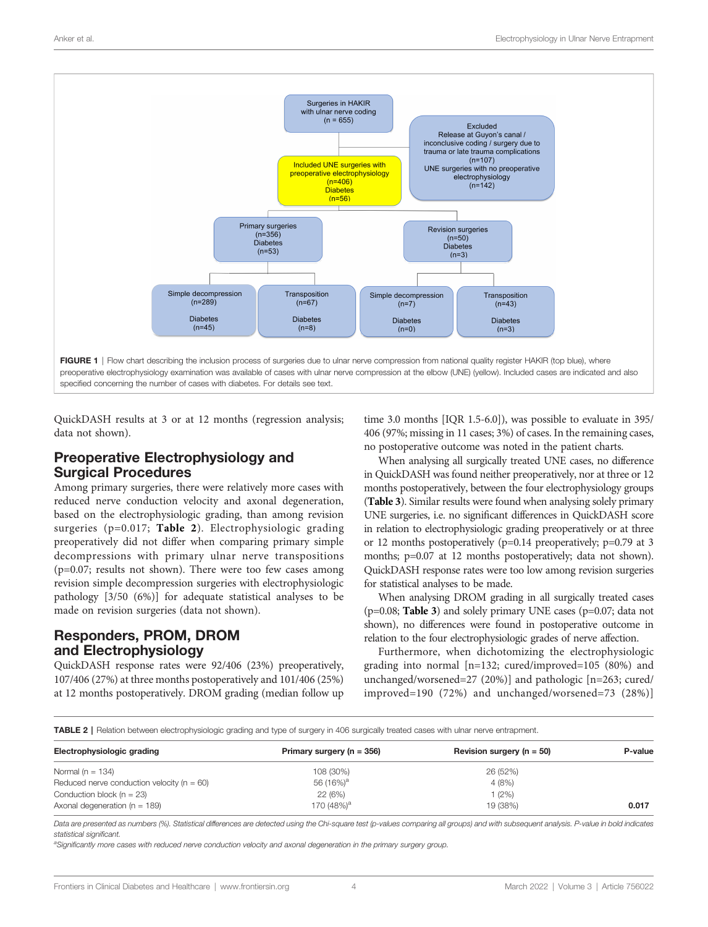<span id="page-3-0"></span>

QuickDASH results at 3 or at 12 months (regression analysis; data not shown).

### Preoperative Electrophysiology and Surgical Procedures

Among primary surgeries, there were relatively more cases with reduced nerve conduction velocity and axonal degeneration, based on the electrophysiologic grading, than among revision surgeries (p=0.017; Table 2). Electrophysiologic grading preoperatively did not differ when comparing primary simple decompressions with primary ulnar nerve transpositions (p=0.07; results not shown). There were too few cases among revision simple decompression surgeries with electrophysiologic pathology [3/50 (6%)] for adequate statistical analyses to be made on revision surgeries (data not shown).

# Responders, PROM, DROM and Electrophysiology

QuickDASH response rates were 92/406 (23%) preoperatively, 107/406 (27%) at three months postoperatively and 101/406 (25%) at 12 months postoperatively. DROM grading (median follow up

time 3.0 months [IQR 1.5-6.0]), was possible to evaluate in 395/ 406 (97%; missing in 11 cases; 3%) of cases. In the remaining cases, no postoperative outcome was noted in the patient charts.

When analysing all surgically treated UNE cases, no difference in QuickDASH was found neither preoperatively, nor at three or 12 months postoperatively, between the four electrophysiology groups ([Table 3](#page-4-0)). Similar results were found when analysing solely primary UNE surgeries, i.e. no significant differences in QuickDASH score in relation to electrophysiologic grading preoperatively or at three or 12 months postoperatively (p=0.14 preoperatively; p=0.79 at 3 months; p=0.07 at 12 months postoperatively; data not shown). QuickDASH response rates were too low among revision surgeries for statistical analyses to be made.

When analysing DROM grading in all surgically treated cases (p=0.08; [Table 3](#page-4-0)) and solely primary UNE cases (p=0.07; data not shown), no differences were found in postoperative outcome in relation to the four electrophysiologic grades of nerve affection.

Furthermore, when dichotomizing the electrophysiologic grading into normal [n=132; cured/improved=105 (80%) and unchanged/worsened=27 (20%)] and pathologic [n=263; cured/ improved=190 (72%) and unchanged/worsened=73 (28%)]

TABLE 2 | Relation between electrophysiologic grading and type of surgery in 406 surgically treated cases with ulnar nerve entrapment.

| Electrophysiologic grading                     | Primary surgery ( $n = 356$ ) | Revision surgery ( $n = 50$ ) | P-value |
|------------------------------------------------|-------------------------------|-------------------------------|---------|
| Normal ( $n = 134$ )                           | 108 (30%)                     | 26 (52%)                      |         |
| Reduced nerve conduction velocity ( $n = 60$ ) | 56 (16%) <sup>a</sup>         | 4(8%)                         |         |
| Conduction block ( $n = 23$ )                  | 22 (6%)                       | 1(2%)                         |         |
| Axonal degeneration ( $n = 189$ )              | 170 (48%) <sup>a</sup>        | 19 (38%)                      | 0.017   |
|                                                |                               |                               |         |

Data are presented as numbers (%). Statistical differences are detected using the Chi-square test (p-values comparing all groups) and with subsequent analysis. P-value in bold indicates statistical significant.

a Significantly more cases with reduced nerve conduction velocity and axonal degeneration in the primary surgery group.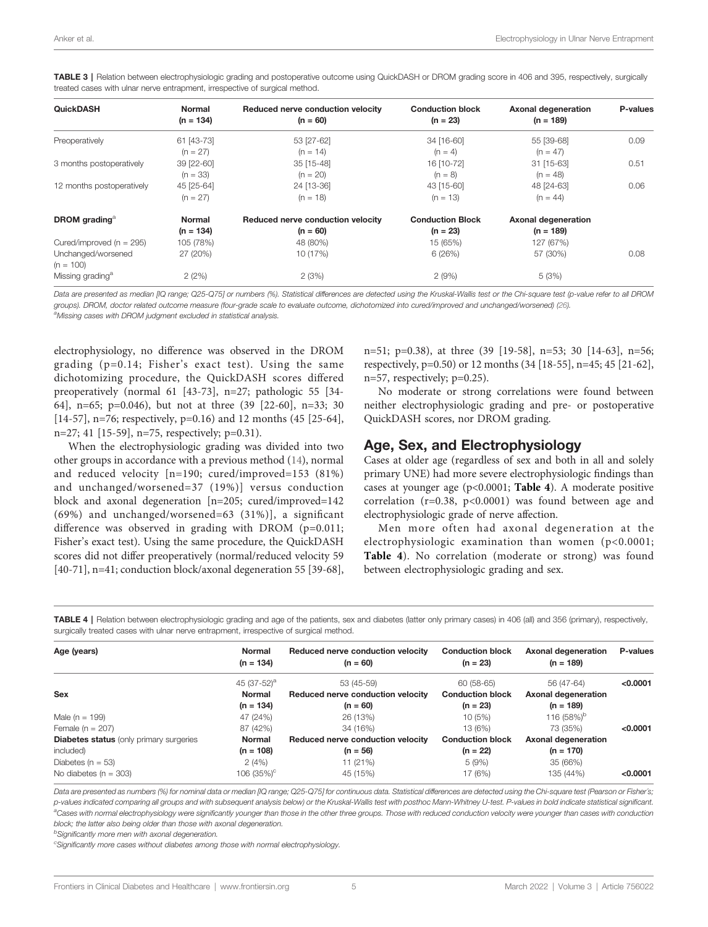| <b>QuickDASH</b>                  | <b>Normal</b><br>$(n = 134)$ | Reduced nerve conduction velocity<br>$(n = 60)$ | <b>Conduction block</b><br>$(n = 23)$ | <b>Axonal degeneration</b><br>$(n = 189)$ | P-values |
|-----------------------------------|------------------------------|-------------------------------------------------|---------------------------------------|-------------------------------------------|----------|
| Preoperatively                    | 61 [43-73]                   | 53 [27-62]                                      | 34 [16-60]                            | 55 [39-68]                                | 0.09     |
|                                   | $(n = 27)$                   | $(n = 14)$                                      | $(n = 4)$                             | $(n = 47)$                                |          |
| 3 months postoperatively          | 39 [22-60]                   | 35 [15-48]                                      | 16 [10-72]                            | 31 [15-63]                                | 0.51     |
|                                   | $(n = 33)$                   | $(n = 20)$                                      | $(n = 8)$                             | $(n = 48)$                                |          |
| 12 months postoperatively         | 45 [25-64]                   | 24 [13-36]                                      | 43 [15-60]                            | 48 [24-63]                                | 0.06     |
|                                   | $(n = 27)$                   | $(n = 18)$                                      | $(n = 13)$                            | $(n = 44)$                                |          |
| <b>DROM</b> grading <sup>a</sup>  | <b>Normal</b>                | Reduced nerve conduction velocity               | <b>Conduction Block</b>               | Axonal degeneration                       |          |
|                                   | $(n = 134)$                  | $(n = 60)$                                      | $(n = 23)$                            | $(n = 189)$                               |          |
| Cured/improved ( $n = 295$ )      | 105 (78%)                    | 48 (80%)                                        | 15 (65%)                              | 127 (67%)                                 |          |
| Unchanged/worsened<br>$(n = 100)$ | 27 (20%)                     | 10 (17%)                                        | 6(26%)                                | 57 (30%)                                  | 0.08     |
| Missing grading <sup>a</sup>      | 2(2%)                        | 2(3%)                                           | 2(9%)                                 | 5(3%)                                     |          |

<span id="page-4-0"></span>TABLE 3 | Relation between electrophysiologic grading and postoperative outcome using QuickDASH or DROM grading score in 406 and 395, respectively, surgically treated cases with ulnar nerve entrapment, irrespective of surgical method.

Data are presented as median [IQ range; Q25-Q75] or numbers (%). Statistical differences are detected using the Kruskal-Wallis test or the Chi-square test (p-value refer to all DROM groups). DROM, doctor related outcome measure (four-grade scale to evaluate outcome, dichotomized into cured/improved and unchanged/worsened) ([26](#page-8-0)). aMissing cases with DROM judgment excluded in statistical analysis.

electrophysiology, no difference was observed in the DROM grading (p=0.14; Fisher's exact test). Using the same dichotomizing procedure, the QuickDASH scores differed preoperatively (normal 61 [43-73], n=27; pathologic 55 [34- 64], n=65; p=0.046), but not at three (39 [22-60], n=33; 30 [14-57], n=76; respectively, p=0.16) and 12 months (45 [25-64], n=27; 41 [15-59], n=75, respectively; p=0.31).

When the electrophysiologic grading was divided into two other groups in accordance with a previous method ([14\)](#page-7-0), normal and reduced velocity [n=190; cured/improved=153 (81%) and unchanged/worsened=37 (19%)] versus conduction block and axonal degeneration [n=205; cured/improved=142 (69%) and unchanged/worsened=63 (31%)], a significant difference was observed in grading with DROM  $(p=0.011;$ Fisher's exact test). Using the same procedure, the QuickDASH scores did not differ preoperatively (normal/reduced velocity 59 [40-71], n=41; conduction block/axonal degeneration 55 [39-68],

n=51; p=0.38), at three (39 [19-58], n=53; 30 [14-63], n=56; respectively, p=0.50) or 12 months (34 [18-55], n=45; 45 [21-62],  $n=57$ , respectively;  $p=0.25$ ).

No moderate or strong correlations were found between neither electrophysiologic grading and pre- or postoperative QuickDASH scores, nor DROM grading.

#### Age, Sex, and Electrophysiology

Cases at older age (regardless of sex and both in all and solely primary UNE) had more severe electrophysiologic findings than cases at younger age  $(p<0.0001;$  Table 4). A moderate positive correlation ( $r=0.38$ ,  $p<0.0001$ ) was found between age and electrophysiologic grade of nerve affection.

Men more often had axonal degeneration at the electrophysiologic examination than women (p<0.0001; Table 4). No correlation (moderate or strong) was found between electrophysiologic grading and sex.

TABLE 4 | Relation between electrophysiologic grading and age of the patients, sex and diabetes (latter only primary cases) in 406 (all) and 356 (primary), respectively, surgically treated cases with ulnar nerve entrapment, irrespective of surgical method.

| Age (years)                                    | <b>Normal</b><br>$(n = 134)$ | Reduced nerve conduction velocity<br>$(n = 60)$ | <b>Conduction block</b><br>$(n = 23)$ | Axonal degeneration<br>$(n = 189)$ | <b>P-values</b> |
|------------------------------------------------|------------------------------|-------------------------------------------------|---------------------------------------|------------------------------------|-----------------|
|                                                | 45 (37-52) <sup>a</sup>      | 53 (45-59)                                      | 60 (58-65)                            | 56 (47-64)                         | < 0.0001        |
| Sex                                            | <b>Normal</b>                | Reduced nerve conduction velocity               | <b>Conduction block</b>               | Axonal degeneration                |                 |
|                                                | $(n = 134)$                  | $(n = 60)$                                      | $(n = 23)$                            | $(n = 189)$                        |                 |
| Male ( $n = 199$ )                             | 47 (24%)                     | 26 (13%)                                        | 10(5%)                                | 116 (58%) <sup>b</sup>             |                 |
| Female ( $n = 207$ )                           | 87 (42%)                     | 34 (16%)                                        | 13 (6%)                               | 73 (35%)                           | < 0.0001        |
| <b>Diabetes status</b> (only primary surgeries | <b>Normal</b>                | Reduced nerve conduction velocity               | <b>Conduction block</b>               | Axonal degeneration                |                 |
| included)                                      | $(n = 108)$                  | $(n = 56)$                                      | $(n = 22)$                            | $(n = 170)$                        |                 |
| Diabetes ( $n = 53$ )                          | 2(4%)                        | 11 (21%)                                        | 5(9%)                                 | 35 (66%)                           |                 |
| No diabetes ( $n = 303$ )                      | 106 $(35\%)^{\circ}$         | 45 (15%)                                        | 17 (6%)                               | 135 (44%)                          | < 0.0001        |

Data are presented as numbers (%) for nominal data or median [IQ range; Q25-Q75] for continuous data. Statistical differences are detected using the Chi-square test (Pearson or Fisher's; p-values indicated comparing all groups and with subsequent analysis below) or the Kruskal-Wallis test with posthoc Mann-Whitney U-test. P-values in bold indicate statistical significant. a<br>Cases with normal electrophysiology were significantly younger than those in the other three groups. Those with reduced conduction velocity were younger than cases with conduction block; the latter also being older than those with axonal degeneration.

**bSignificantly more men with axonal degeneration.** 

<sup>c</sup>Significantly more cases without diabetes among those with normal electrophysiology.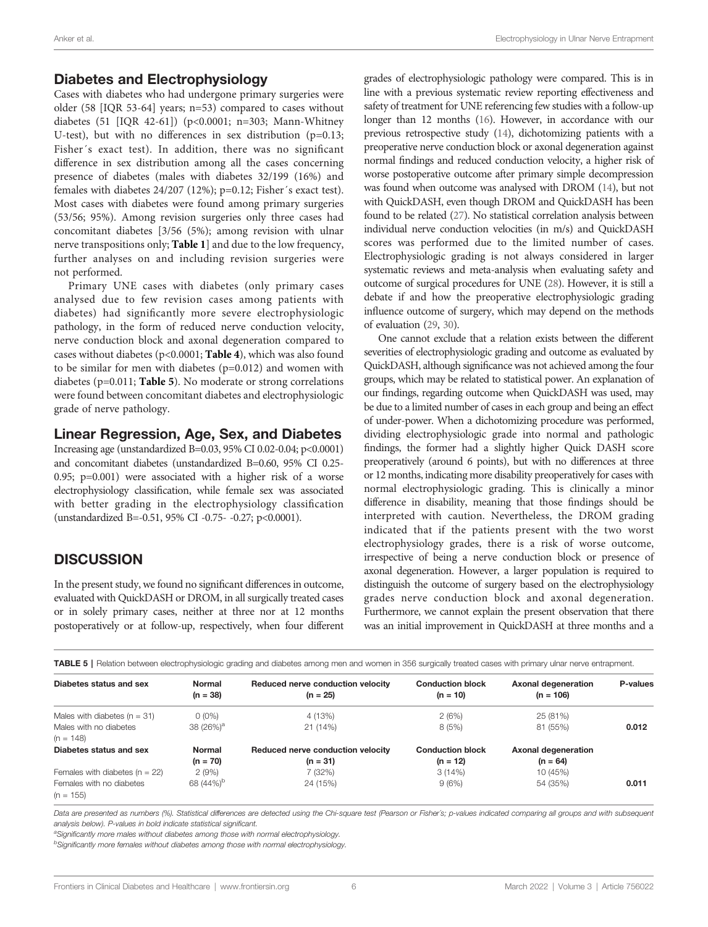### Diabetes and Electrophysiology

Cases with diabetes who had undergone primary surgeries were older (58 [IQR 53-64] years; n=53) compared to cases without diabetes (51 [IQR 42-61]) (p<0.0001; n=303; Mann-Whitney U-test), but with no differences in sex distribution  $(p=0.13;$ Fisher´s exact test). In addition, there was no significant difference in sex distribution among all the cases concerning presence of diabetes (males with diabetes 32/199 (16%) and females with diabetes 24/207 (12%); p=0.12; Fisher´s exact test). Most cases with diabetes were found among primary surgeries (53/56; 95%). Among revision surgeries only three cases had concomitant diabetes [3/56 (5%); among revision with ulnar nerve transpositions only; [Table 1](#page-2-0)] and due to the low frequency, further analyses on and including revision surgeries were not performed.

Primary UNE cases with diabetes (only primary cases analysed due to few revision cases among patients with diabetes) had significantly more severe electrophysiologic pathology, in the form of reduced nerve conduction velocity, nerve conduction block and axonal degeneration compared to cases without diabetes (p<0.0001; [Table 4](#page-4-0)), which was also found to be similar for men with diabetes (p=0.012) and women with diabetes ( $p=0.011$ ; Table 5). No moderate or strong correlations were found between concomitant diabetes and electrophysiologic grade of nerve pathology.

# Linear Regression, Age, Sex, and Diabetes

Increasing age (unstandardized B=0.03, 95% CI 0.02-0.04; p<0.0001) and concomitant diabetes (unstandardized B=0.60, 95% CI 0.25- 0.95; p=0.001) were associated with a higher risk of a worse electrophysiology classification, while female sex was associated with better grading in the electrophysiology classification (unstandardized B=-0.51, 95% CI -0.75- -0.27; p<0.0001).

# **DISCUSSION**

In the present study, we found no significant differences in outcome, evaluated with QuickDASH or DROM, in all surgically treated cases or in solely primary cases, neither at three nor at 12 months postoperatively or at follow-up, respectively, when four different

grades of electrophysiologic pathology were compared. This is in line with a previous systematic review reporting effectiveness and safety of treatment for UNE referencing few studies with a follow-up longer than 12 months [\(16\)](#page-7-0). However, in accordance with our previous retrospective study [\(14](#page-7-0)), dichotomizing patients with a preoperative nerve conduction block or axonal degeneration against normal findings and reduced conduction velocity, a higher risk of worse postoperative outcome after primary simple decompression was found when outcome was analysed with DROM [\(14\)](#page-7-0), but not with QuickDASH, even though DROM and QuickDASH has been found to be related [\(27](#page-8-0)). No statistical correlation analysis between individual nerve conduction velocities (in m/s) and QuickDASH scores was performed due to the limited number of cases. Electrophysiologic grading is not always considered in larger systematic reviews and meta-analysis when evaluating safety and outcome of surgical procedures for UNE ([28\)](#page-8-0). However, it is still a debate if and how the preoperative electrophysiologic grading influence outcome of surgery, which may depend on the methods of evaluation [\(29,](#page-8-0) [30](#page-8-0)).

One cannot exclude that a relation exists between the different severities of electrophysiologic grading and outcome as evaluated by QuickDASH, although significance was not achieved among the four groups, which may be related to statistical power. An explanation of our findings, regarding outcome when QuickDASH was used, may be due to a limited number of cases in each group and being an effect of under-power. When a dichotomizing procedure was performed, dividing electrophysiologic grade into normal and pathologic findings, the former had a slightly higher Quick DASH score preoperatively (around 6 points), but with no differences at three or 12 months, indicating more disability preoperatively for cases with normal electrophysiologic grading. This is clinically a minor difference in disability, meaning that those findings should be interpreted with caution. Nevertheless, the DROM grading indicated that if the patients present with the two worst electrophysiology grades, there is a risk of worse outcome, irrespective of being a nerve conduction block or presence of axonal degeneration. However, a larger population is required to distinguish the outcome of surgery based on the electrophysiology grades nerve conduction block and axonal degeneration. Furthermore, we cannot explain the present observation that there was an initial improvement in QuickDASH at three months and a

|  |  |  | TABLE 5   Relation between electrophysiologic grading and diabetes among men and women in 356 surgically treated cases with primary ulnar nerve entrapment. |
|--|--|--|-------------------------------------------------------------------------------------------------------------------------------------------------------------|
|  |  |  |                                                                                                                                                             |

| Diabetes status and sex                 | <b>Normal</b><br>$(n = 38)$ | Reduced nerve conduction velocity<br>$(n = 25)$ | <b>Conduction block</b><br>$(n = 10)$ | Axonal degeneration<br>$(n = 106)$ | <b>P-values</b> |
|-----------------------------------------|-----------------------------|-------------------------------------------------|---------------------------------------|------------------------------------|-----------------|
| Males with diabetes ( $n = 31$ )        | $0(0\%)$                    | 4 (13%)                                         | 2(6%)                                 | 25 (81%)                           |                 |
| Males with no diabetes                  | 38 (26%) <sup>a</sup>       | 21 (14%)                                        | 8(5%)                                 | 81 (55%)                           | 0.012           |
| $(n = 148)$                             |                             |                                                 |                                       |                                    |                 |
| Diabetes status and sex                 | Normal                      | Reduced nerve conduction velocity               | <b>Conduction block</b>               | Axonal degeneration                |                 |
|                                         | $(n = 70)$                  | $(n = 31)$                                      | $(n = 12)$                            | $(n = 64)$                         |                 |
| Females with diabetes $(n = 22)$        | 2(9%)                       | 7 (32%)                                         | 3(14%)                                | 10 (45%)                           |                 |
| Females with no diabetes<br>$(n = 155)$ | 68 (44%) <sup>b</sup>       | 24 (15%)                                        | 9(6%)                                 | 54 (35%)                           | 0.011           |

Data are presented as numbers (%). Statistical differences are detected using the Chi-square test (Pearson or Fisher's; p-values indicated comparing all groups and with subsequent analysis below). P-values in bold indicate statistical significant.

<sup>a</sup>Significantly more males without diabetes among those with normal electrophysiology.

<sup>b</sup>Significantly more females without diabetes among those with normal electrophysiology.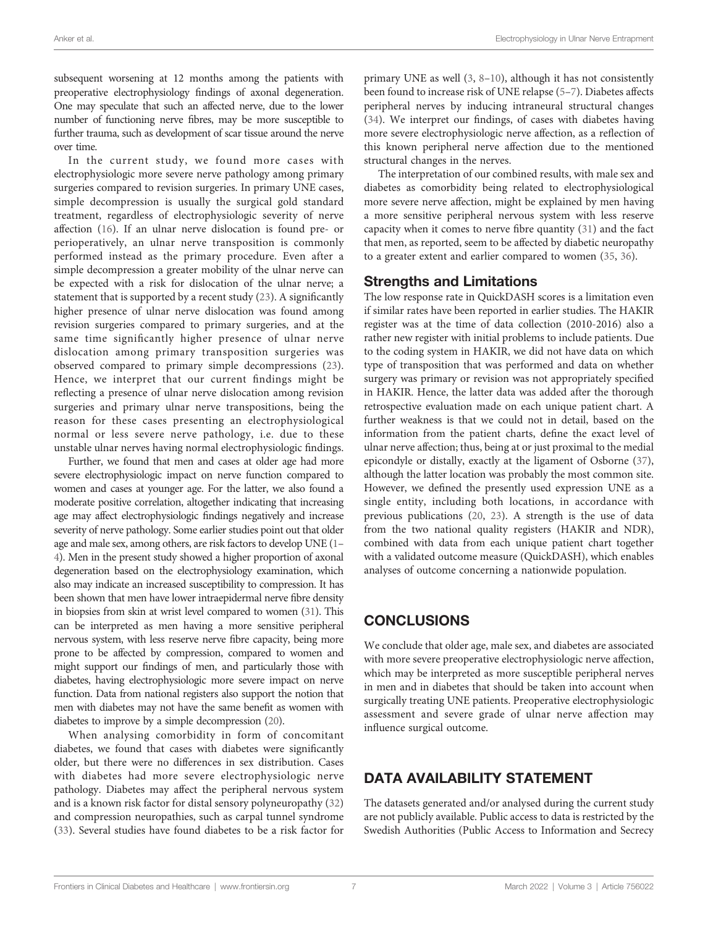subsequent worsening at 12 months among the patients with preoperative electrophysiology findings of axonal degeneration. One may speculate that such an affected nerve, due to the lower number of functioning nerve fibres, may be more susceptible to further trauma, such as development of scar tissue around the nerve over time.

In the current study, we found more cases with electrophysiologic more severe nerve pathology among primary surgeries compared to revision surgeries. In primary UNE cases, simple decompression is usually the surgical gold standard treatment, regardless of electrophysiologic severity of nerve affection [\(16](#page-7-0)). If an ulnar nerve dislocation is found pre- or perioperatively, an ulnar nerve transposition is commonly performed instead as the primary procedure. Even after a simple decompression a greater mobility of the ulnar nerve can be expected with a risk for dislocation of the ulnar nerve; a statement that is supported by a recent study [\(23](#page-8-0)). A significantly higher presence of ulnar nerve dislocation was found among revision surgeries compared to primary surgeries, and at the same time significantly higher presence of ulnar nerve dislocation among primary transposition surgeries was observed compared to primary simple decompressions ([23\)](#page-8-0). Hence, we interpret that our current findings might be reflecting a presence of ulnar nerve dislocation among revision surgeries and primary ulnar nerve transpositions, being the reason for these cases presenting an electrophysiological normal or less severe nerve pathology, i.e. due to these unstable ulnar nerves having normal electrophysiologic findings.

Further, we found that men and cases at older age had more severe electrophysiologic impact on nerve function compared to women and cases at younger age. For the latter, we also found a moderate positive correlation, altogether indicating that increasing age may affect electrophysiologic findings negatively and increase severity of nerve pathology. Some earlier studies point out that older age and male sex, among others, are risk factors to develop UNE [\(1](#page-7-0)– [4\)](#page-7-0). Men in the present study showed a higher proportion of axonal degeneration based on the electrophysiology examination, which also may indicate an increased susceptibility to compression. It has been shown that men have lower intraepidermal nerve fibre density in biopsies from skin at wrist level compared to women [\(31](#page-8-0)). This can be interpreted as men having a more sensitive peripheral nervous system, with less reserve nerve fibre capacity, being more prone to be affected by compression, compared to women and might support our findings of men, and particularly those with diabetes, having electrophysiologic more severe impact on nerve function. Data from national registers also support the notion that men with diabetes may not have the same benefit as women with diabetes to improve by a simple decompression ([20](#page-7-0)).

When analysing comorbidity in form of concomitant diabetes, we found that cases with diabetes were significantly older, but there were no differences in sex distribution. Cases with diabetes had more severe electrophysiologic nerve pathology. Diabetes may affect the peripheral nervous system and is a known risk factor for distal sensory polyneuropathy ([32\)](#page-8-0) and compression neuropathies, such as carpal tunnel syndrome ([33\)](#page-8-0). Several studies have found diabetes to be a risk factor for

primary UNE as well [\(3,](#page-7-0) [8](#page-7-0)–[10](#page-7-0)), although it has not consistently been found to increase risk of UNE relapse ([5](#page-7-0)–[7\)](#page-7-0). Diabetes affects peripheral nerves by inducing intraneural structural changes [\(34\)](#page-8-0). We interpret our findings, of cases with diabetes having more severe electrophysiologic nerve affection, as a reflection of this known peripheral nerve affection due to the mentioned structural changes in the nerves.

The interpretation of our combined results, with male sex and diabetes as comorbidity being related to electrophysiological more severe nerve affection, might be explained by men having a more sensitive peripheral nervous system with less reserve capacity when it comes to nerve fibre quantity [\(31\)](#page-8-0) and the fact that men, as reported, seem to be affected by diabetic neuropathy to a greater extent and earlier compared to women ([35](#page-8-0), [36](#page-8-0)).

#### Strengths and Limitations

The low response rate in QuickDASH scores is a limitation even if similar rates have been reported in earlier studies. The HAKIR register was at the time of data collection (2010-2016) also a rather new register with initial problems to include patients. Due to the coding system in HAKIR, we did not have data on which type of transposition that was performed and data on whether surgery was primary or revision was not appropriately specified in HAKIR. Hence, the latter data was added after the thorough retrospective evaluation made on each unique patient chart. A further weakness is that we could not in detail, based on the information from the patient charts, define the exact level of ulnar nerve affection; thus, being at or just proximal to the medial epicondyle or distally, exactly at the ligament of Osborne [\(37\)](#page-8-0), although the latter location was probably the most common site. However, we defined the presently used expression UNE as a single entity, including both locations, in accordance with previous publications ([20](#page-7-0), [23\)](#page-8-0). A strength is the use of data from the two national quality registers (HAKIR and NDR), combined with data from each unique patient chart together with a validated outcome measure (QuickDASH), which enables analyses of outcome concerning a nationwide population.

# **CONCLUSIONS**

We conclude that older age, male sex, and diabetes are associated with more severe preoperative electrophysiologic nerve affection, which may be interpreted as more susceptible peripheral nerves in men and in diabetes that should be taken into account when surgically treating UNE patients. Preoperative electrophysiologic assessment and severe grade of ulnar nerve affection may influence surgical outcome.

# DATA AVAILABILITY STATEMENT

The datasets generated and/or analysed during the current study are not publicly available. Public access to data is restricted by the Swedish Authorities (Public Access to Information and Secrecy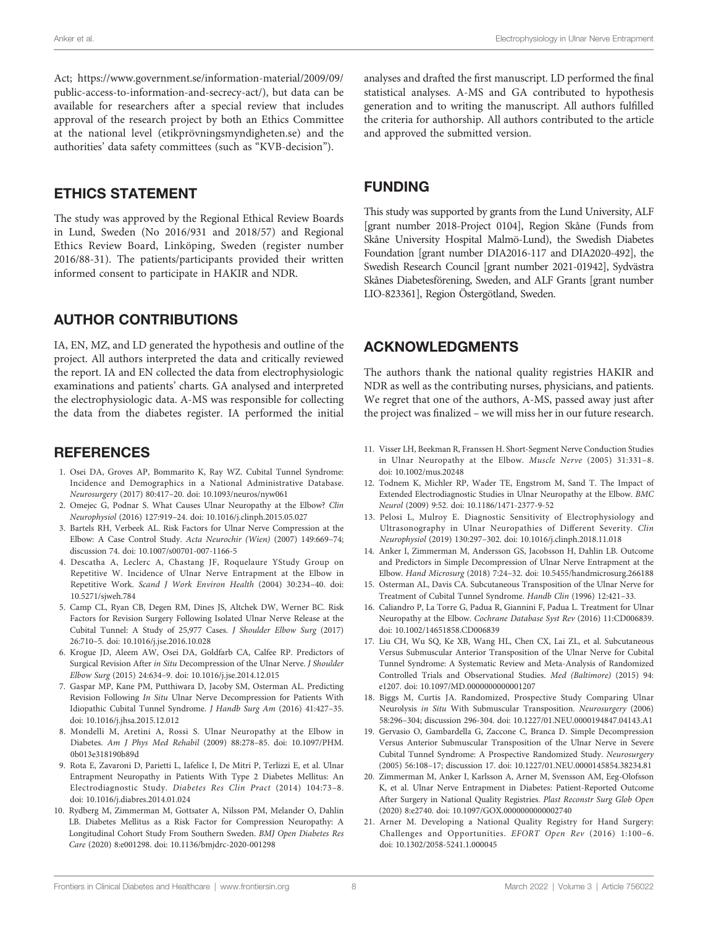<span id="page-7-0"></span>Act; [https://www.government.se/information-material/2009/09/](https://www.government.se/information-material/2009/09/public-access-to-information-and-secrecy-act/) [public-access-to-information-and-secrecy-act/\)](https://www.government.se/information-material/2009/09/public-access-to-information-and-secrecy-act/), but data can be available for researchers after a special review that includes approval of the research project by both an Ethics Committee at the national level (etikprövningsmyndigheten.se) and the authorities' data safety committees (such as "KVB-decision").

# ETHICS STATEMENT

The study was approved by the Regional Ethical Review Boards in Lund, Sweden (No 2016/931 and 2018/57) and Regional Ethics Review Board, Linköping, Sweden (register number 2016/88-31). The patients/participants provided their written informed consent to participate in HAKIR and NDR.

# AUTHOR CONTRIBUTIONS

IA, EN, MZ, and LD generated the hypothesis and outline of the project. All authors interpreted the data and critically reviewed the report. IA and EN collected the data from electrophysiologic examinations and patients' charts. GA analysed and interpreted the electrophysiologic data. A-MS was responsible for collecting the data from the diabetes register. IA performed the initial

#### **REFERENCES**

- 1. Osei DA, Groves AP, Bommarito K, Ray WZ. Cubital Tunnel Syndrome: Incidence and Demographics in a National Administrative Database. Neurosurgery (2017) 80:417–20. doi: [10.1093/neuros/nyw061](https://doi.org/10.1093/neuros/nyw061)
- 2. Omejec G, Podnar S. What Causes Ulnar Neuropathy at the Elbow? Clin Neurophysiol (2016) 127:919–24. doi: [10.1016/j.clinph.2015.05.027](https://doi.org/10.1016/j.clinph.2015.05.027)
- 3. Bartels RH, Verbeek AL. Risk Factors for Ulnar Nerve Compression at the Elbow: A Case Control Study. Acta Neurochir (Wien) (2007) 149:669–74; discussion 74. doi: [10.1007/s00701-007-1166-5](https://doi.org/10.1007/s00701-007-1166-5)
- 4. Descatha A, Leclerc A, Chastang JF, Roquelaure YStudy Group on Repetitive W. Incidence of Ulnar Nerve Entrapment at the Elbow in Repetitive Work. Scand J Work Environ Health (2004) 30:234–40. doi: [10.5271/sjweh.784](https://doi.org/10.5271/sjweh.784)
- 5. Camp CL, Ryan CB, Degen RM, Dines JS, Altchek DW, Werner BC. Risk Factors for Revision Surgery Following Isolated Ulnar Nerve Release at the Cubital Tunnel: A Study of 25,977 Cases. J Shoulder Elbow Surg (2017) 26:710–5. doi: [10.1016/j.jse.2016.10.028](https://doi.org/10.1016/j.jse.2016.10.028)
- 6. Krogue JD, Aleem AW, Osei DA, Goldfarb CA, Calfee RP. Predictors of Surgical Revision After in Situ Decompression of the Ulnar Nerve. J Shoulder Elbow Surg (2015) 24:634–9. doi: [10.1016/j.jse.2014.12.015](https://doi.org/10.1016/j.jse.2014.12.015)
- 7. Gaspar MP, Kane PM, Putthiwara D, Jacoby SM, Osterman AL. Predicting Revision Following In Situ Ulnar Nerve Decompression for Patients With Idiopathic Cubital Tunnel Syndrome. J Handb Surg Am (2016) 41:427–35. doi: [10.1016/j.jhsa.2015.12.012](https://doi.org/10.1016/j.jhsa.2015.12.012)
- 8. Mondelli M, Aretini A, Rossi S. Ulnar Neuropathy at the Elbow in Diabetes. Am J Phys Med Rehabil (2009) 88:278–85. doi: [10.1097/PHM.](https://doi.org/10.1097/PHM.0b013e318190b89d) [0b013e318190b89d](https://doi.org/10.1097/PHM.0b013e318190b89d)
- 9. Rota E, Zavaroni D, Parietti L, Iafelice I, De Mitri P, Terlizzi E, et al. Ulnar Entrapment Neuropathy in Patients With Type 2 Diabetes Mellitus: An Electrodiagnostic Study. Diabetes Res Clin Pract (2014) 104:73–8. doi: [10.1016/j.diabres.2014.01.024](https://doi.org/10.1016/j.diabres.2014.01.024)
- 10. Rydberg M, Zimmerman M, Gottsater A, Nilsson PM, Melander O, Dahlin LB. Diabetes Mellitus as a Risk Factor for Compression Neuropathy: A Longitudinal Cohort Study From Southern Sweden. BMJ Open Diabetes Res Care (2020) 8:e001298. doi: [10.1136/bmjdrc-2020-001298](https://doi.org/10.1136/bmjdrc-2020-001298)

analyses and drafted the first manuscript. LD performed the final statistical analyses. A-MS and GA contributed to hypothesis generation and to writing the manuscript. All authors fulfilled the criteria for authorship. All authors contributed to the article and approved the submitted version.

# FUNDING

This study was supported by grants from the Lund University, ALF [grant number 2018-Project 0104], Region Skåne (Funds from Skåne University Hospital Malmö-Lund), the Swedish Diabetes Foundation [grant number DIA2016-117 and DIA2020-492], the Swedish Research Council [grant number 2021-01942], Sydvästra Skånes Diabetesförening, Sweden, and ALF Grants [grant number LIO-823361], Region Östergötland, Sweden.

# ACKNOWLEDGMENTS

The authors thank the national quality registries HAKIR and NDR as well as the contributing nurses, physicians, and patients. We regret that one of the authors, A-MS, passed away just after the project was finalized – we will miss her in our future research.

- 11. Visser LH, Beekman R, Franssen H. Short-Segment Nerve Conduction Studies in Ulnar Neuropathy at the Elbow. Muscle Nerve (2005) 31:331–8. doi: [10.1002/mus.20248](https://doi.org/10.1002/mus.20248)
- 12. Todnem K, Michler RP, Wader TE, Engstrom M, Sand T. The Impact of Extended Electrodiagnostic Studies in Ulnar Neuropathy at the Elbow. BMC Neurol (2009) 9:52. doi: [10.1186/1471-2377-9-52](https://doi.org/10.1186/1471-2377-9-52)
- 13. Pelosi L, Mulroy E. Diagnostic Sensitivity of Electrophysiology and Ultrasonography in Ulnar Neuropathies of Different Severity. Clin Neurophysiol (2019) 130:297–302. doi: [10.1016/j.clinph.2018.11.018](https://doi.org/10.1016/j.clinph.2018.11.018)
- 14. Anker I, Zimmerman M, Andersson GS, Jacobsson H, Dahlin LB. Outcome and Predictors in Simple Decompression of Ulnar Nerve Entrapment at the Elbow. Hand Microsurg (2018) 7:24–32. doi: [10.5455/handmicrosurg.266188](https://doi.org/10.5455/handmicrosurg.266188)
- 15. Osterman AL, Davis CA. Subcutaneous Transposition of the Ulnar Nerve for Treatment of Cubital Tunnel Syndrome. Handb Clin (1996) 12:421–33.
- 16. Caliandro P, La Torre G, Padua R, Giannini F, Padua L. Treatment for Ulnar Neuropathy at the Elbow. Cochrane Database Syst Rev (2016) 11:CD006839. doi: [10.1002/14651858.CD006839](https://doi.org/10.1002/14651858.CD006839)
- 17. Liu CH, Wu SQ, Ke XB, Wang HL, Chen CX, Lai ZL, et al. Subcutaneous Versus Submuscular Anterior Transposition of the Ulnar Nerve for Cubital Tunnel Syndrome: A Systematic Review and Meta-Analysis of Randomized Controlled Trials and Observational Studies. Med (Baltimore) (2015) 94: e1207. doi: [10.1097/MD.0000000000001207](https://doi.org/10.1097/MD.0000000000001207)
- 18. Biggs M, Curtis JA. Randomized, Prospective Study Comparing Ulnar Neurolysis in Situ With Submuscular Transposition. Neurosurgery (2006) 58:296–304; discussion 296-304. doi: [10.1227/01.NEU.0000194847.04143.A1](https://doi.org/10.1227/01.NEU.0000194847.04143.A1)
- 19. Gervasio O, Gambardella G, Zaccone C, Branca D. Simple Decompression Versus Anterior Submuscular Transposition of the Ulnar Nerve in Severe Cubital Tunnel Syndrome: A Prospective Randomized Study. Neurosurgery (2005) 56:108–17; discussion 17. doi: [10.1227/01.NEU.0000145854.38234.81](https://doi.org/10.1227/01.NEU.0000145854.38234.81)
- 20. Zimmerman M, Anker I, Karlsson A, Arner M, Svensson AM, Eeg-Olofsson K, et al. Ulnar Nerve Entrapment in Diabetes: Patient-Reported Outcome After Surgery in National Quality Registries. Plast Reconstr Surg Glob Open (2020) 8:e2740. doi: [10.1097/GOX.0000000000002740](https://doi.org/10.1097/GOX.0000000000002740)
- 21. Arner M. Developing a National Quality Registry for Hand Surgery: Challenges and Opportunities. EFORT Open Rev (2016) 1:100–6. doi: [10.1302/2058-5241.1.000045](https://doi.org/10.1302/2058-5241.1.000045)